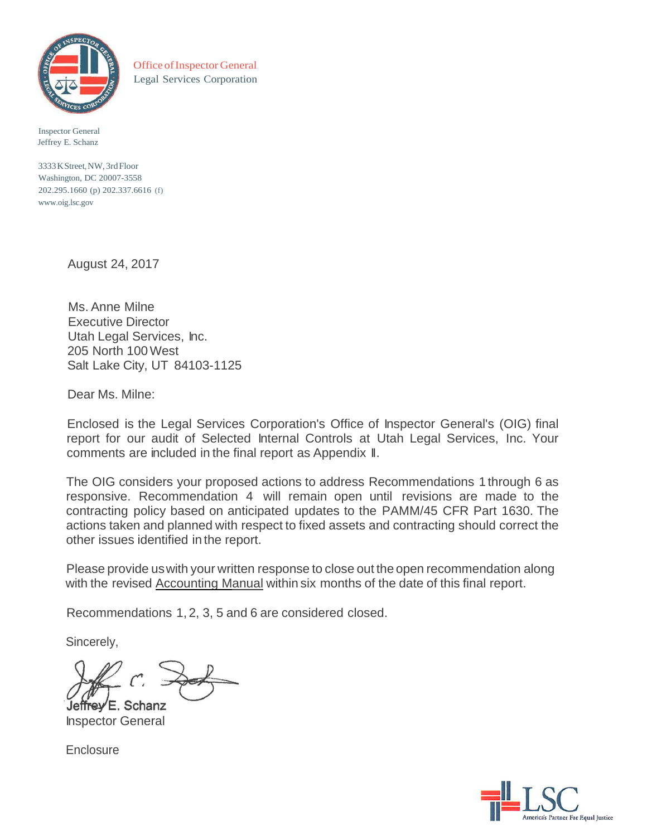

OfficeofInspector General Legal Services Corporation

Inspector General Jeffrey E. Schanz

3333KStreet,NW, 3rdFloor Washington, DC 20007-3558 202.295.1660 (p) 202.337.6616 (f) [www.oig.lsc.gov](http://www.oig.lsc.gov/)

August 24, 2017

Ms. Anne Milne Executive Director Utah Legal Services, Inc. 205 North 100West Salt Lake City, UT 84103-1125

Dear Ms. Milne:

Enclosed is the Legal Services Corporation's Office of Inspector General's (OIG) final report for our audit of Selected Internal Controls at Utah Legal Services, Inc. Your comments are included in the final report as Appendix II.

The OIG considers your proposed actions to address Recommendations 1 through 6 as responsive. Recommendation 4 will remain open until revisions are made to the contracting policy based on anticipated updates to the PAMM/45 CFR Part 1630. The actions taken and planned with respect to fixed assets and contracting should correct the other issues identified in the report.

Please provide uswith your written response to close out the open recommendation along with the revised Accounting Manual within six months of the date of this final report.

Recommendations 1, 2, 3, 5 and 6 are considered closed.

Sincerely,

Jeffrey E. Schanz

Inspector General

**Enclosure** 

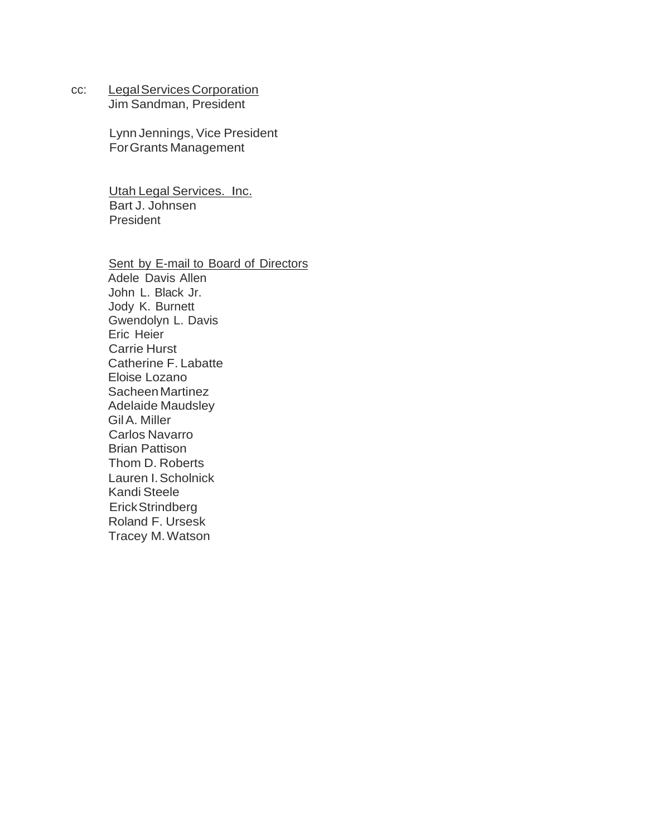cc: Legal Services Corporation

Jim Sandman, President

Lynn Jennings, Vice President ForGrants Management

Utah Legal Services. Inc. Bart J. Johnsen President

Sent by E-mail to Board of Directors Adele Davis Allen John L. Black Jr. Jody K. Burnett Gwendolyn L. Davis Eric Heier Carrie Hurst Catherine F. Labatte Eloise Lozano SacheenMartinez Adelaide Maudsley GilA. Miller Carlos Navarro Brian Pattison Thom D. Roberts Lauren I.Scholnick Kandi Steele ErickStrindberg Roland F. Ursesk Tracey M.Watson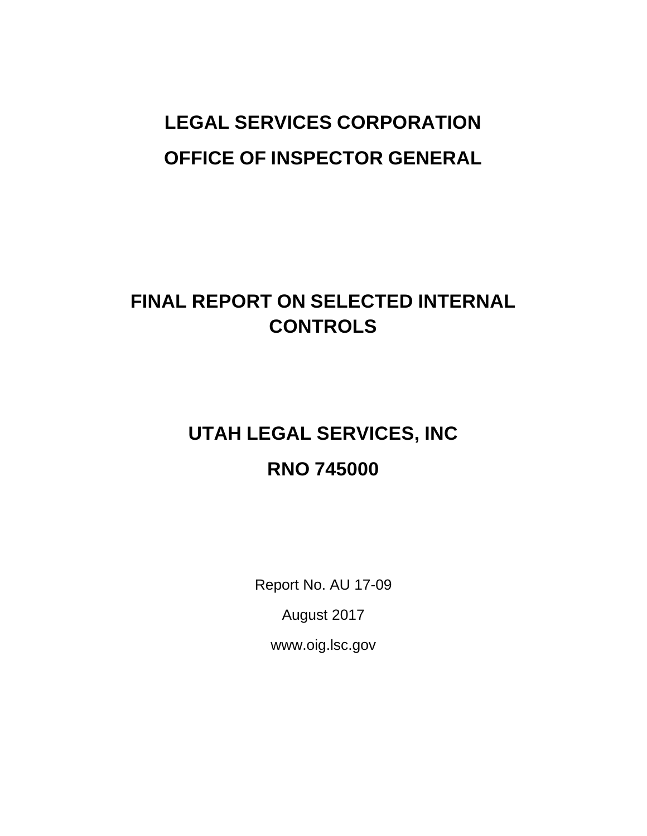# **LEGAL SERVICES CORPORATION OFFICE OF INSPECTOR GENERAL**

# **FINAL REPORT ON SELECTED INTERNAL CONTROLS**

# **UTAH LEGAL SERVICES, INC RNO 745000**

Report No. AU 17-09

August 201[7](http://www.oig.lsc.gov/)

[www.oig.lsc.gov](http://www.oig.lsc.gov/)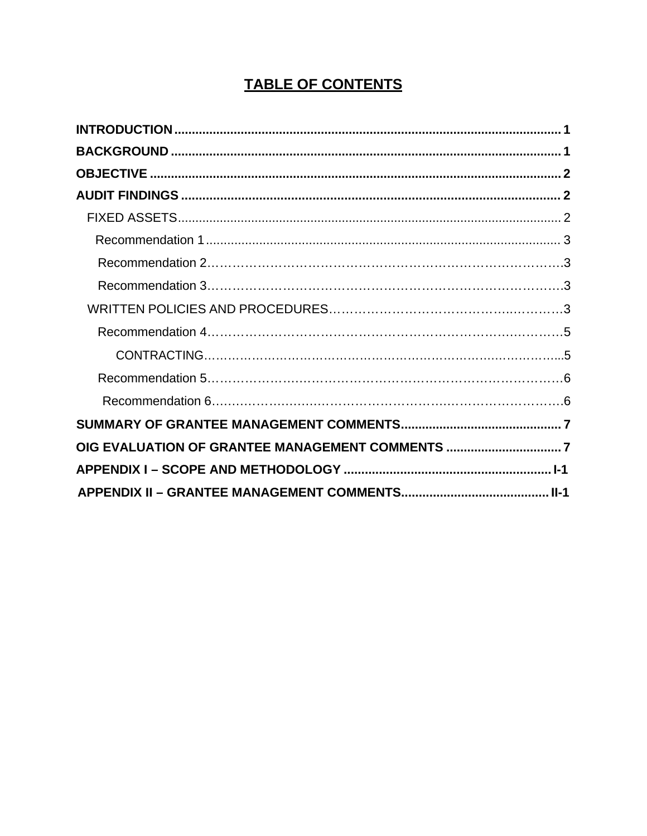# **TABLE OF CONTENTS**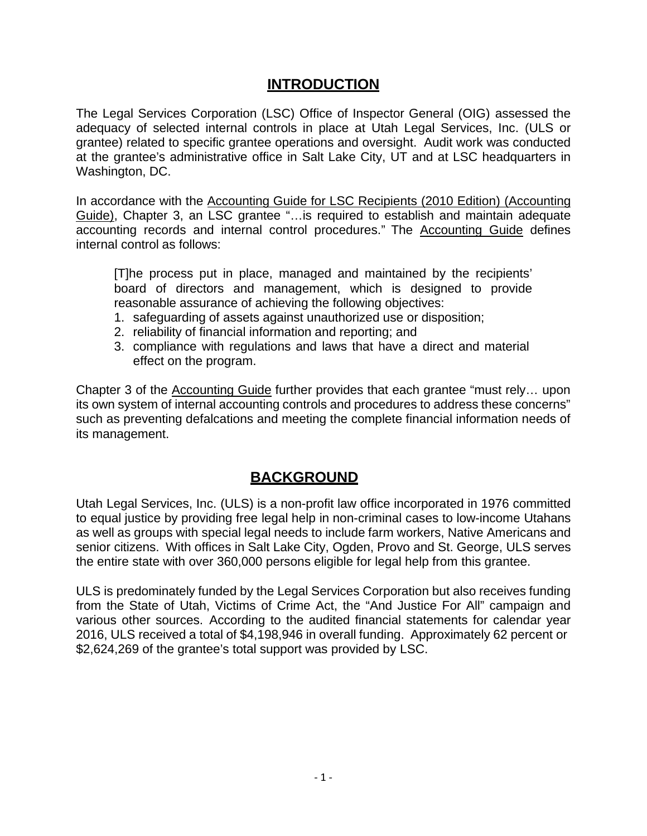## **INTRODUCTION**

<span id="page-4-0"></span>The Legal Services Corporation (LSC) Office of Inspector General (OIG) assessed the adequacy of selected internal controls in place at Utah Legal Services, Inc. (ULS or grantee) related to specific grantee operations and oversight. Audit work was conducted at the grantee's administrative office in Salt Lake City, UT and at LSC headquarters in Washington, DC.

In accordance with the Accounting Guide for LSC Recipients (2010 Edition) (Accounting Guide), Chapter 3, an LSC grantee "…is required to establish and maintain adequate accounting records and internal control procedures." The Accounting Guide defines internal control as follows:

[T]he process put in place, managed and maintained by the recipients' board of directors and management, which is designed to provide reasonable assurance of achieving the following objectives:

- 1. safeguarding of assets against unauthorized use or disposition;
- 2. reliability of financial information and reporting; and
- 3. compliance with regulations and laws that have a direct and material effect on the program.

Chapter 3 of the Accounting Guide further provides that each grantee "must rely… upon its own system of internal accounting controls and procedures to address these concerns" such as preventing defalcations and meeting the complete financial information needs of its management.

## **BACKGROUND**

<span id="page-4-1"></span>Utah Legal Services, Inc. (ULS) is a non-profit law office incorporated in 1976 committed to equal justice by providing free legal help in non-criminal cases to low-income Utahans as well as groups with special legal needs to include farm workers, Native Americans and senior citizens. With offices in Salt Lake City, Ogden, Provo and St. George, ULS serves the entire state with over 360,000 persons eligible for legal help from this grantee.

ULS is predominately funded by the Legal Services Corporation but also receives funding from the State of Utah, Victims of Crime Act, the "And Justice For All" campaign and various other sources. According to the audited financial statements for calendar year 2016, ULS received a total of \$4,198,946 in overall funding. Approximately 62 percent or \$2,624,269 of the grantee's total support was provided by LSC.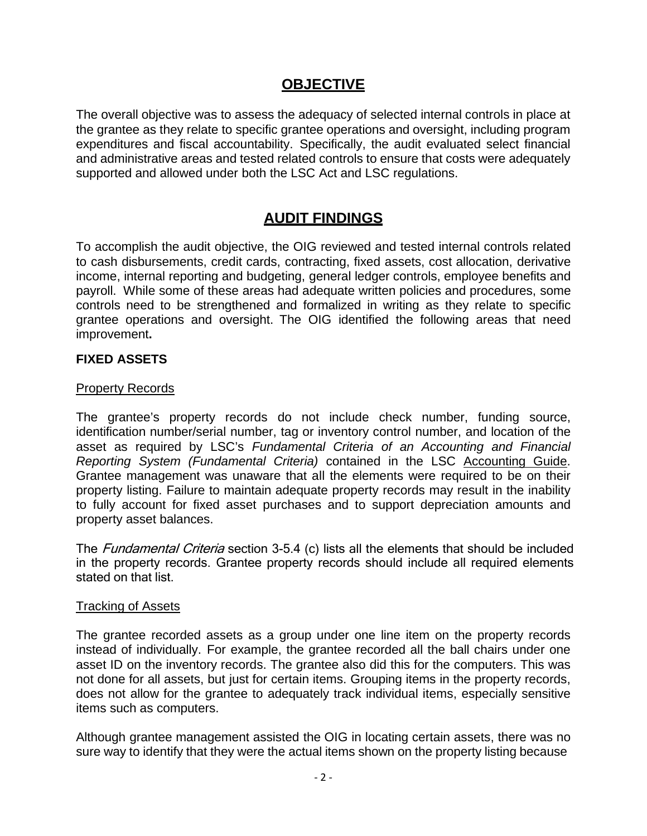## **OBJECTIVE**

<span id="page-5-0"></span>The overall objective was to assess the adequacy of selected internal controls in place at the grantee as they relate to specific grantee operations and oversight, including program expenditures and fiscal accountability. Specifically, the audit evaluated select financial and administrative areas and tested related controls to ensure that costs were adequately supported and allowed under both the LSC Act and LSC regulations.

# **AUDIT FINDINGS**

<span id="page-5-1"></span>To accomplish the audit objective, the OIG reviewed and tested internal controls related to cash disbursements, credit cards, contracting, fixed assets, cost allocation, derivative income, internal reporting and budgeting, general ledger controls, employee benefits and payroll. While some of these areas had adequate written policies and procedures, some controls need to be strengthened and formalized in writing as they relate to specific grantee operations and oversight. The OIG identified the following areas that need improvement**.**

#### <span id="page-5-2"></span>**FIXED ASSETS**

#### Property Records

The grantee's property records do not include check number, funding source, identification number/serial number, tag or inventory control number, and location of the asset as required by LSC's *Fundamental Criteria of an Accounting and Financial Reporting System (Fundamental Criteria)* contained in the LSC Accounting Guide. Grantee management was unaware that all the elements were required to be on their property listing. Failure to maintain adequate property records may result in the inability to fully account for fixed asset purchases and to support depreciation amounts and property asset balances.

The *Fundamental Criteria* section 3-5.4 (c) lists all the elements that should be included in the property records. Grantee property records should include all required elements stated on that list.

#### Tracking of Assets

The grantee recorded assets as a group under one line item on the property records instead of individually. For example, the grantee recorded all the ball chairs under one asset ID on the inventory records. The grantee also did this for the computers. This was not done for all assets, but just for certain items. Grouping items in the property records, does not allow for the grantee to adequately track individual items, especially sensitive items such as computers.

Although grantee management assisted the OIG in locating certain assets, there was no sure way to identify that they were the actual items shown on the property listing because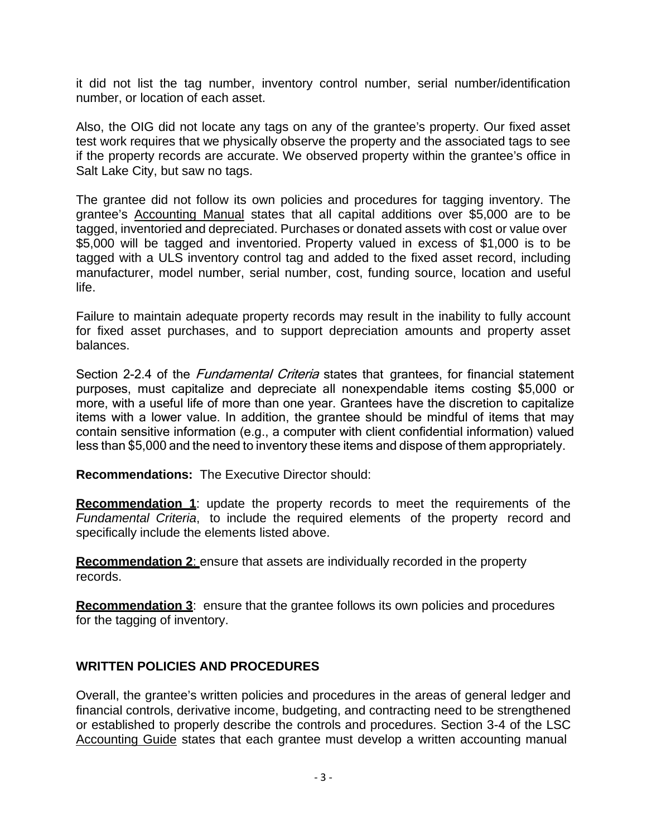it did not list the tag number, inventory control number, serial number/identification number, or location of each asset.

Also, the OIG did not locate any tags on any of the grantee's property. Our fixed asset test work requires that we physically observe the property and the associated tags to see if the property records are accurate. We observed property within the grantee's office in Salt Lake City, but saw no tags.

The grantee did not follow its own policies and procedures for tagging inventory. The grantee's Accounting Manual states that all capital additions over \$5,000 are to be tagged, inventoried and depreciated. Purchases or donated assets with cost or value over \$5,000 will be tagged and inventoried. Property valued in excess of \$1,000 is to be tagged with a ULS inventory control tag and added to the fixed asset record, including manufacturer, model number, serial number, cost, funding source, location and useful life.

Failure to maintain adequate property records may result in the inability to fully account for fixed asset purchases, and to support depreciation amounts and property asset balances.

Section 2-2.4 of the *Fundamental Criteria* states that grantees, for financial statement purposes, must capitalize and depreciate all nonexpendable items costing \$5,000 or more, with a useful life of more than one year. Grantees have the discretion to capitalize items with a lower value. In addition, the grantee should be mindful of items that may contain sensitive information (e.g., a computer with client confidential information) valued less than \$5,000 and the need to inventory these items and dispose of them appropriately.

**Recommendations:** The Executive Director should:

**Recommendation 1**: update the property records to meet the requirements of the *Fundamental Criteria*, to include the required elements of the property record and specifically include the elements listed above.

**Recommendation 2**: ensure that assets are individually recorded in the property records.

**Recommendation 3**: ensure that the grantee follows its own policies and procedures for the tagging of inventory.

#### **WRITTEN POLICIES AND PROCEDURES**

Overall, the grantee's written policies and procedures in the areas of general ledger and financial controls, derivative income, budgeting, and contracting need to be strengthened or established to properly describe the controls and procedures. Section 3-4 of the LSC Accounting Guide states that each grantee must develop a written accounting manual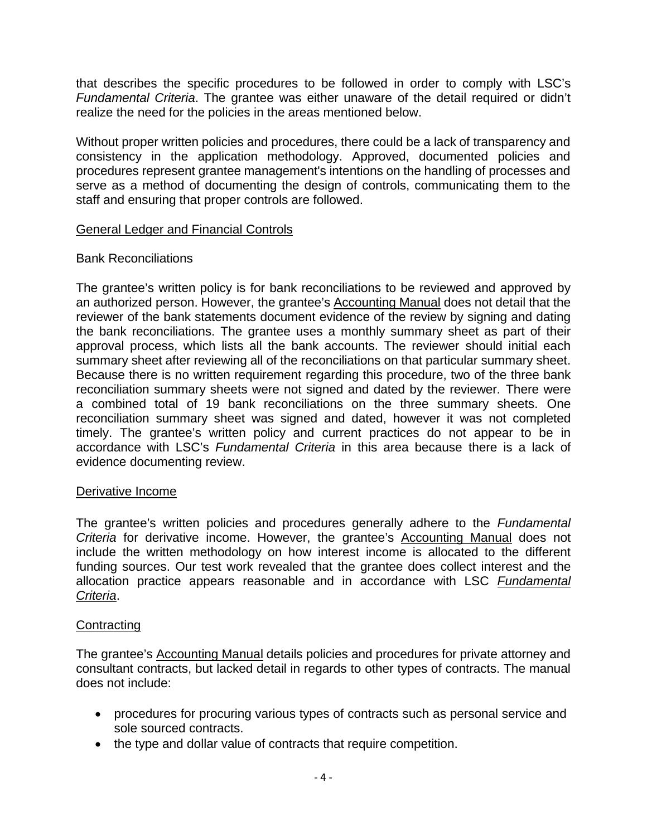that describes the specific procedures to be followed in order to comply with LSC's *Fundamental Criteria*. The grantee was either unaware of the detail required or didn't realize the need for the policies in the areas mentioned below.

Without proper written policies and procedures, there could be a lack of transparency and consistency in the application methodology. Approved, documented policies and procedures represent grantee management's intentions on the handling of processes and serve as a method of documenting the design of controls, communicating them to the staff and ensuring that proper controls are followed.

#### General Ledger and Financial Controls

#### Bank Reconciliations

The grantee's written policy is for bank reconciliations to be reviewed and approved by an authorized person. However, the grantee's Accounting Manual does not detail that the reviewer of the bank statements document evidence of the review by signing and dating the bank reconciliations. The grantee uses a monthly summary sheet as part of their approval process, which lists all the bank accounts. The reviewer should initial each summary sheet after reviewing all of the reconciliations on that particular summary sheet. Because there is no written requirement regarding this procedure, two of the three bank reconciliation summary sheets were not signed and dated by the reviewer. There were a combined total of 19 bank reconciliations on the three summary sheets. One reconciliation summary sheet was signed and dated, however it was not completed timely. The grantee's written policy and current practices do not appear to be in accordance with LSC's *Fundamental Criteria* in this area because there is a lack of evidence documenting review.

#### Derivative Income

The grantee's written policies and procedures generally adhere to the *Fundamental Criteria* for derivative income. However, the grantee's Accounting Manual does not include the written methodology on how interest income is allocated to the different funding sources. Our test work revealed that the grantee does collect interest and the allocation practice appears reasonable and in accordance with LSC *Fundamental Criteria*.

#### **Contracting**

The grantee's Accounting Manual details policies and procedures for private attorney and consultant contracts, but lacked detail in regards to other types of contracts. The manual does not include:

- procedures for procuring various types of contracts such as personal service and sole sourced contracts.
- the type and dollar value of contracts that require competition.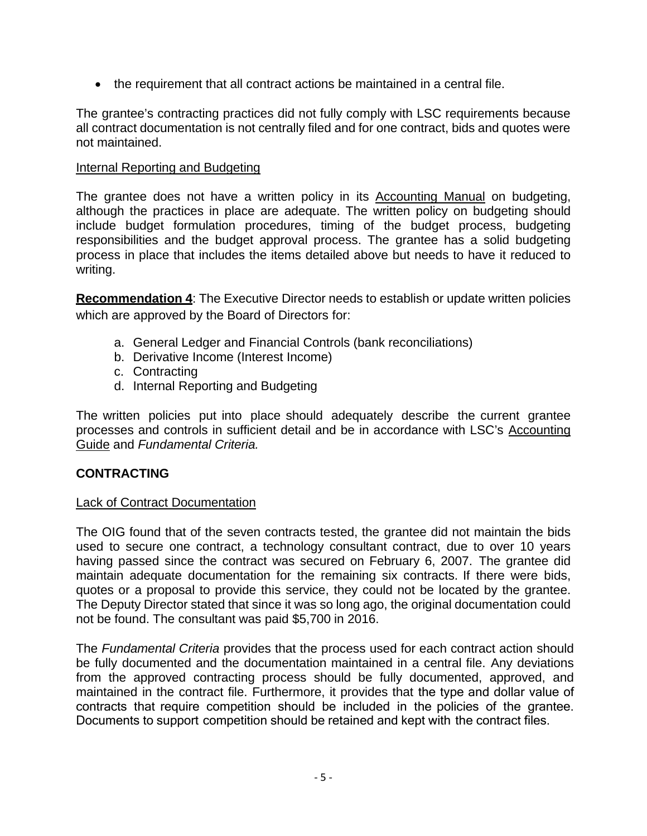• the requirement that all contract actions be maintained in a central file.

The grantee's contracting practices did not fully comply with LSC requirements because all contract documentation is not centrally filed and for one contract, bids and quotes were not maintained.

#### Internal Reporting and Budgeting

The grantee does not have a written policy in its Accounting Manual on budgeting, although the practices in place are adequate. The written policy on budgeting should include budget formulation procedures, timing of the budget process, budgeting responsibilities and the budget approval process. The grantee has a solid budgeting process in place that includes the items detailed above but needs to have it reduced to writing.

**Recommendation 4**: The Executive Director needs to establish or update written policies which are approved by the Board of Directors for:

- a. General Ledger and Financial Controls (bank reconciliations)
- b. Derivative Income (Interest Income)
- c. Contracting
- d. Internal Reporting and Budgeting

The written policies put into place should adequately describe the current grantee processes and controls in sufficient detail and be in accordance with LSC's Accounting Guide and *Fundamental Criteria.*

#### **CONTRACTING**

#### Lack of Contract Documentation

The OIG found that of the seven contracts tested, the grantee did not maintain the bids used to secure one contract, a technology consultant contract, due to over 10 years having passed since the contract was secured on February 6, 2007. The grantee did maintain adequate documentation for the remaining six contracts. If there were bids, quotes or a proposal to provide this service, they could not be located by the grantee. The Deputy Director stated that since it was so long ago, the original documentation could not be found. The consultant was paid \$5,700 in 2016.

The *Fundamental Criteria* provides that the process used for each contract action should be fully documented and the documentation maintained in a central file. Any deviations from the approved contracting process should be fully documented, approved, and maintained in the contract file. Furthermore, it provides that the type and dollar value of contracts that require competition should be included in the policies of the grantee. Documents to support competition should be retained and kept with the contract files.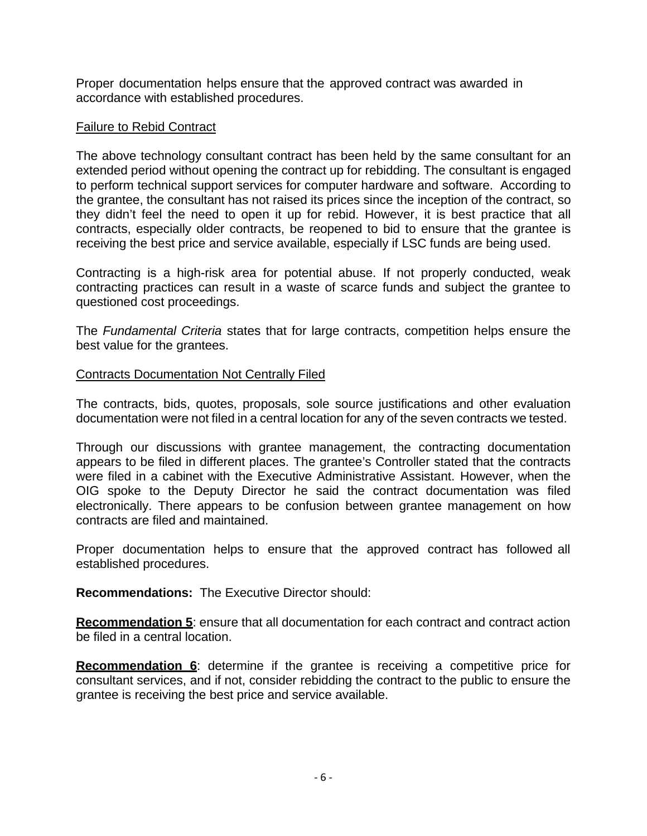Proper documentation helps ensure that the approved contract was awarded in accordance with established procedures.

#### Failure to Rebid Contract

The above technology consultant contract has been held by the same consultant for an extended period without opening the contract up for rebidding. The consultant is engaged to perform technical support services for computer hardware and software. According to the grantee, the consultant has not raised its prices since the inception of the contract, so they didn't feel the need to open it up for rebid. However, it is best practice that all contracts, especially older contracts, be reopened to bid to ensure that the grantee is receiving the best price and service available, especially if LSC funds are being used.

Contracting is a high-risk area for potential abuse. If not properly conducted, weak contracting practices can result in a waste of scarce funds and subject the grantee to questioned cost proceedings.

The *Fundamental Criteria* states that for large contracts, competition helps ensure the best value for the grantees.

#### Contracts Documentation Not Centrally Filed

The contracts, bids, quotes, proposals, sole source justifications and other evaluation documentation were not filed in a central location for any of the seven contracts we tested.

Through our discussions with grantee management, the contracting documentation appears to be filed in different places. The grantee's Controller stated that the contracts were filed in a cabinet with the Executive Administrative Assistant. However, when the OIG spoke to the Deputy Director he said the contract documentation was filed electronically. There appears to be confusion between grantee management on how contracts are filed and maintained.

Proper documentation helps to ensure that the approved contract has followed all established procedures.

**Recommendations:** The Executive Director should:

**Recommendation 5**: ensure that all documentation for each contract and contract action be filed in a central location.

**Recommendation 6**: determine if the grantee is receiving a competitive price for consultant services, and if not, consider rebidding the contract to the public to ensure the grantee is receiving the best price and service available.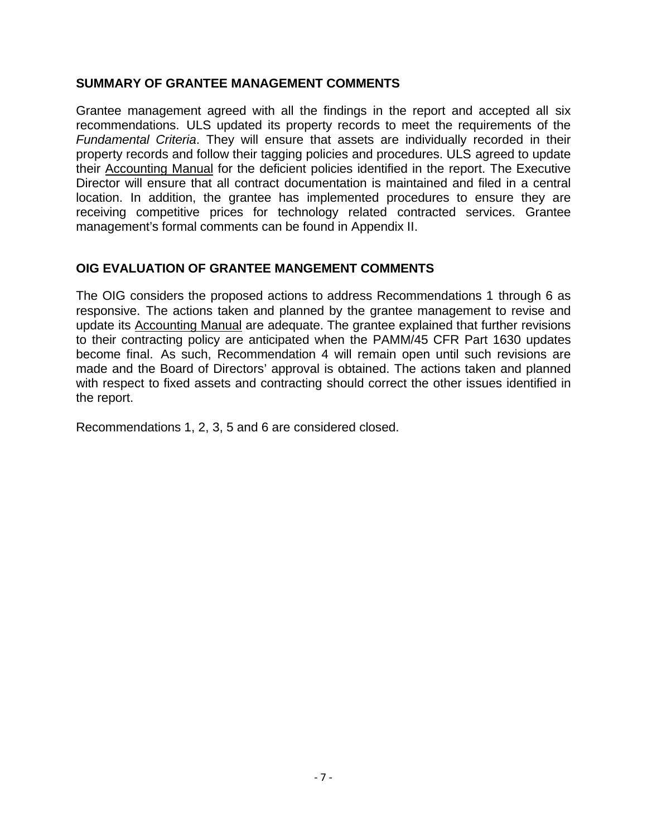#### **SUMMARY OF GRANTEE MANAGEMENT COMMENTS**

Grantee management agreed with all the findings in the report and accepted all six recommendations. ULS updated its property records to meet the requirements of the *Fundamental Criteria*. They will ensure that assets are individually recorded in their property records and follow their tagging policies and procedures. ULS agreed to update their Accounting Manual for the deficient policies identified in the report. The Executive Director will ensure that all contract documentation is maintained and filed in a central location. In addition, the grantee has implemented procedures to ensure they are receiving competitive prices for technology related contracted services. Grantee management's formal comments can be found in Appendix II.

#### **OIG EVALUATION OF GRANTEE MANGEMENT COMMENTS**

The OIG considers the proposed actions to address Recommendations 1 through 6 as responsive. The actions taken and planned by the grantee management to revise and update its Accounting Manual are adequate. The grantee explained that further revisions to their contracting policy are anticipated when the PAMM/45 CFR Part 1630 updates become final. As such, Recommendation 4 will remain open until such revisions are made and the Board of Directors' approval is obtained. The actions taken and planned with respect to fixed assets and contracting should correct the other issues identified in the report.

Recommendations 1, 2, 3, 5 and 6 are considered closed.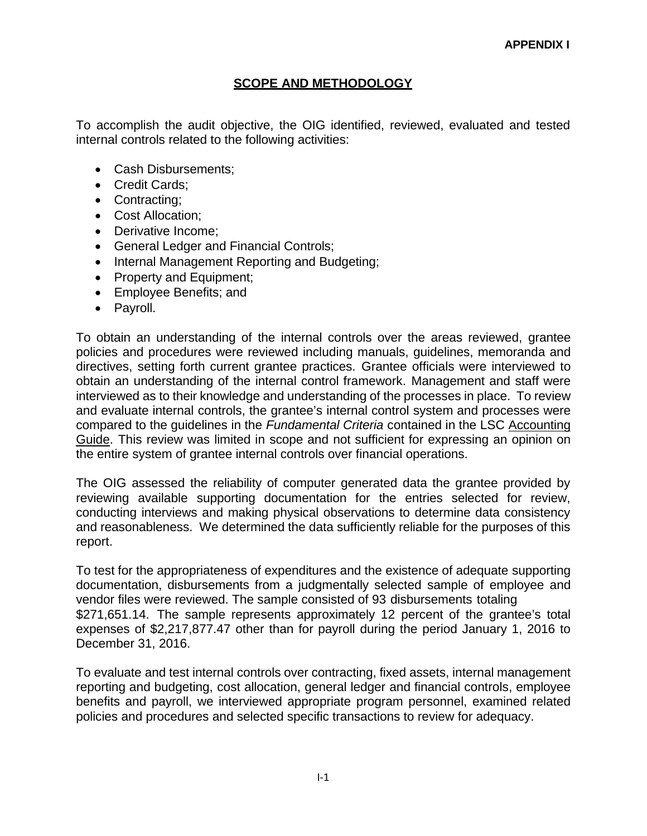#### **SCOPE AND METHODOLOGY**

To accomplish the audit objective, the OIG identified, reviewed, evaluated and tested internal controls related to the following activities:

- Cash Disbursements;
- Credit Cards;
- Contracting;
- Cost Allocation;
- Derivative Income:
- General Ledger and Financial Controls;
- Internal Management Reporting and Budgeting;
- Property and Equipment;
- Employee Benefits; and
- Payroll.

To obtain an understanding of the internal controls over the areas reviewed, grantee policies and procedures were reviewed including manuals, guidelines, memoranda and directives, setting forth current grantee practices. Grantee officials were interviewed to obtain an understanding of the internal control framework. Management and staff were interviewed as to their knowledge and understanding of the processes in place. To review and evaluate internal controls, the grantee's internal control system and processes were compared to the guidelines in the *Fundamental Criteria* contained in the LSC Accounting Guide. This review was limited in scope and not sufficient for expressing an opinion on the entire system of grantee internal controls over financial operations.

The OIG assessed the reliability of computer generated data the grantee provided by reviewing available supporting documentation for the entries selected for review, conducting interviews and making physical observations to determine data consistency and reasonableness. We determined the data sufficiently reliable for the purposes of this report.

To test for the appropriateness of expenditures and the existence of adequate supporting documentation, disbursements from a judgmentally selected sample of employee and vendor files were reviewed. The sample consisted of 93 disbursements totaling \$271,651.14. The sample represents approximately 12 percent of the grantee's total expenses of \$2,217,877.47 other than for payroll during the period January 1, 2016 to December 31, 2016.

To evaluate and test internal controls over contracting, fixed assets, internal management reporting and budgeting, cost allocation, general ledger and financial controls, employee benefits and payroll, we interviewed appropriate program personnel, examined related policies and procedures and selected specific transactions to review for adequacy.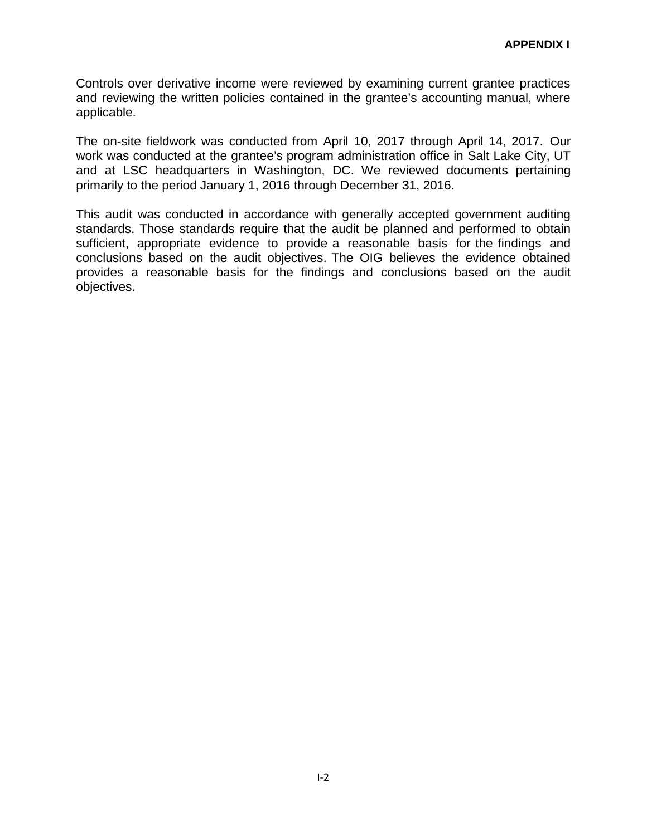Controls over derivative income were reviewed by examining current grantee practices and reviewing the written policies contained in the grantee's accounting manual, where applicable.

The on-site fieldwork was conducted from April 10, 2017 through April 14, 2017. Our work was conducted at the grantee's program administration office in Salt Lake City, UT and at LSC headquarters in Washington, DC. We reviewed documents pertaining primarily to the period January 1, 2016 through December 31, 2016.

This audit was conducted in accordance with generally accepted government auditing standards. Those standards require that the audit be planned and performed to obtain sufficient, appropriate evidence to provide a reasonable basis for the findings and conclusions based on the audit objectives. The OIG believes the evidence obtained provides a reasonable basis for the findings and conclusions based on the audit objectives.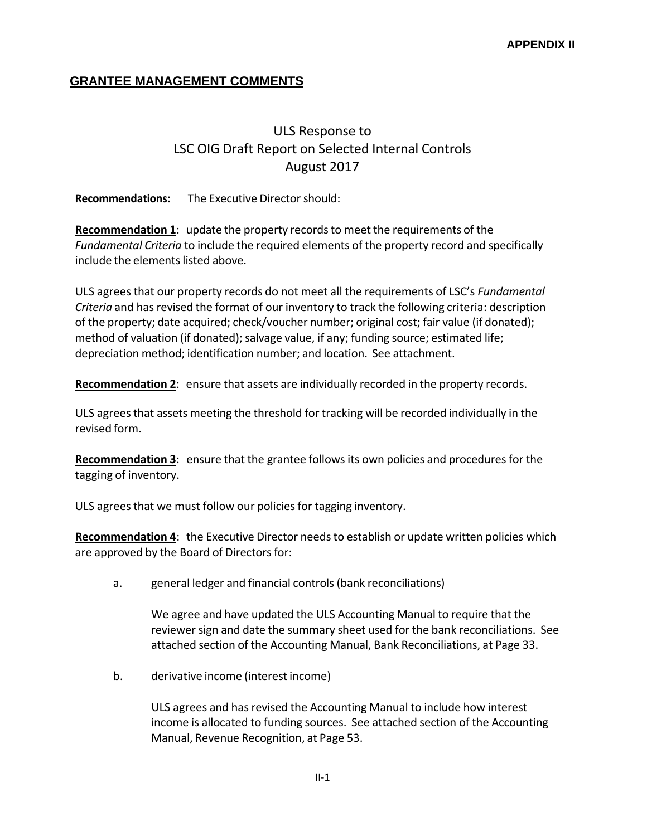#### **GRANTEE MANAGEMENT COMMENTS**

## ULS Response to LSC OIG Draft Report on Selected Internal Controls August 2017

**Recommendations:** The Executive Directorshould:

**Recommendation 1:** update the property records to meet the requirements of the *Fundamental Criteria* to include the required elements of the property record and specifically include the elements listed above.

ULS agreesthat our property records do not meet all the requirements of LSC's *Fundamental Criteria* and hasrevised the format of our inventory to track the following criteria: description of the property; date acquired; check/voucher number; original cost; fair value (if donated); method of valuation (if donated); salvage value, if any; funding source; estimated life; depreciation method; identification number; and location. See attachment.

**Recommendation 2**: ensure that assets are individually recorded in the property records.

ULS agreesthat assets meeting the threshold for tracking will be recorded individually in the revised form.

**Recommendation 3**: ensure that the grantee followsits own policies and proceduresfor the tagging of inventory.

ULS agrees that we must follow our policies for tagging inventory.

**Recommendation 4**: the Executive Director needsto establish or update written policies which are approved by the Board of Directors for:

a. general ledger and financial controls(bank reconciliations)

We agree and have updated the ULS Accounting Manual to require that the reviewer sign and date the summary sheet used for the bank reconciliations. See attached section of the Accounting Manual, Bank Reconciliations, at Page 33.

b. derivative income (interest income)

ULS agrees and has revised the Accounting Manual to include how interest income is allocated to funding sources. See attached section of the Accounting Manual, Revenue Recognition, at Page 53.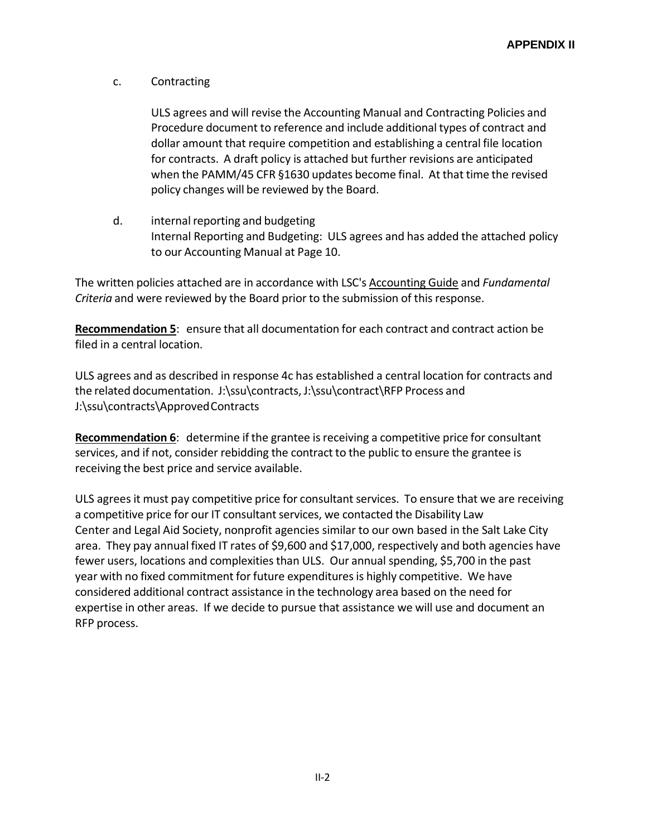c. Contracting

ULS agrees and will revise the Accounting Manual and Contracting Policies and Procedure document to reference and include additional types of contract and dollar amount that require competition and establishing a central file location for contracts. A draft policy is attached but further revisions are anticipated when the PAMM/45 CFR §1630 updates become final. At that time the revised policy changes will be reviewed by the Board.

d. internal reporting and budgeting Internal Reporting and Budgeting: ULS agrees and has added the attached policy to our Accounting Manual at Page 10.

The written policies attached are in accordance with LSC's Accounting Guide and *Fundamental Criteria* and were reviewed by the Board prior to the submission of this response.

**Recommendation 5**: ensure that all documentation for each contract and contract action be filed in a central location.

ULS agrees and as described in response 4c has established a central location for contracts and the related documentation. J:\ssu\contracts, J:\ssu\contract\RFP Process and J:\ssu\contracts\ApprovedContracts

**Recommendation 6**: determine if the grantee is receiving a competitive price for consultant services, and if not, consider rebidding the contract to the public to ensure the grantee is receiving the best price and service available.

ULS agrees it must pay competitive price for consultant services. To ensure that we are receiving a competitive price for our IT consultant services, we contacted the Disability Law Center and Legal Aid Society, nonprofit agencies similar to our own based in the Salt Lake City area. They pay annual fixed IT rates of \$9,600 and \$17,000, respectively and both agencies have fewer users, locations and complexitiesthan ULS. Our annual spending, \$5,700 in the past year with no fixed commitment for future expenditures is highly competitive. We have considered additional contract assistance in the technology area based on the need for expertise in other areas. If we decide to pursue that assistance we will use and document an RFP process.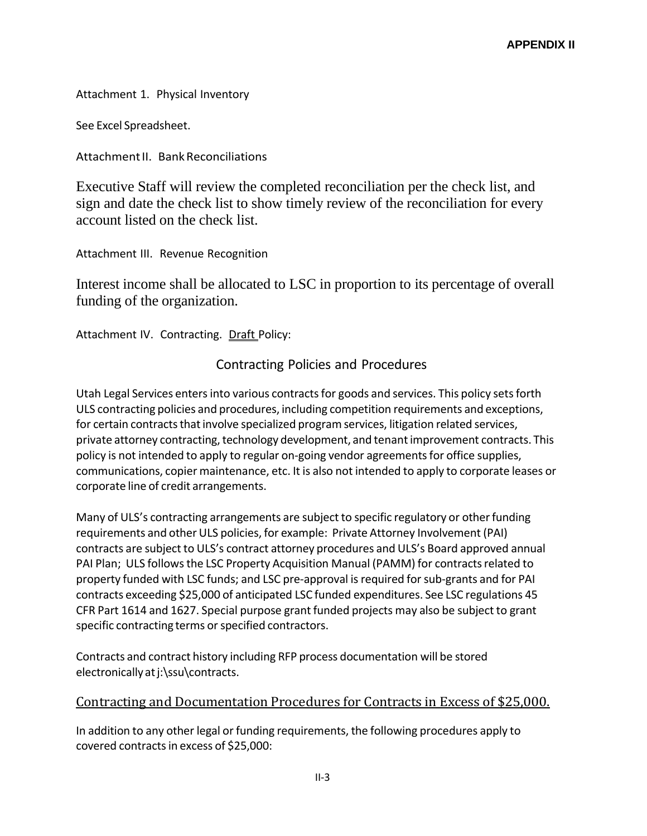Attachment 1. Physical Inventory

See Excel Spreadsheet.

Attachment II. Bank Reconciliations

Executive Staff will review the completed reconciliation per the check list, and sign and date the check list to show timely review of the reconciliation for every account listed on the check list.

Attachment III. Revenue Recognition

Interest income shall be allocated to LSC in proportion to its percentage of overall funding of the organization.

Attachment IV. Contracting. Draft Policy:

#### Contracting Policies and Procedures

Utah Legal Services enters into various contracts for goods and services. This policy sets forth ULS contracting policies and procedures, including competition requirements and exceptions, for certain contracts that involve specialized program services, litigation related services, private attorney contracting, technology development, and tenant improvement contracts. This policy is not intended to apply to regular on-going vendor agreements for office supplies, communications, copier maintenance, etc. It is also not intended to apply to corporate leases or corporate line of credit arrangements.

Many of ULS's contracting arrangements are subject to specific regulatory or other funding requirements and other ULS policies, for example: Private Attorney Involvement (PAI) contracts are subject to ULS's contract attorney procedures and ULS's Board approved annual PAI Plan; ULS follows the LSC Property Acquisition Manual (PAMM) for contracts related to property funded with LSC funds; and LSC pre-approval isrequired forsub-grants and for PAI contracts exceeding \$25,000 of anticipated LSC funded expenditures. See LSC regulations 45 CFR Part 1614 and 1627. Special purpose grant funded projects may also be subject to grant specific contracting terms or specified contractors.

Contracts and contract history including RFP process documentation will be stored electronically at j:\ssu\contracts.

#### Contracting and Documentation Procedures for Contracts in Excess of \$25,000.

In addition to any other legal or funding requirements, the following procedures apply to covered contractsin excess of \$25,000: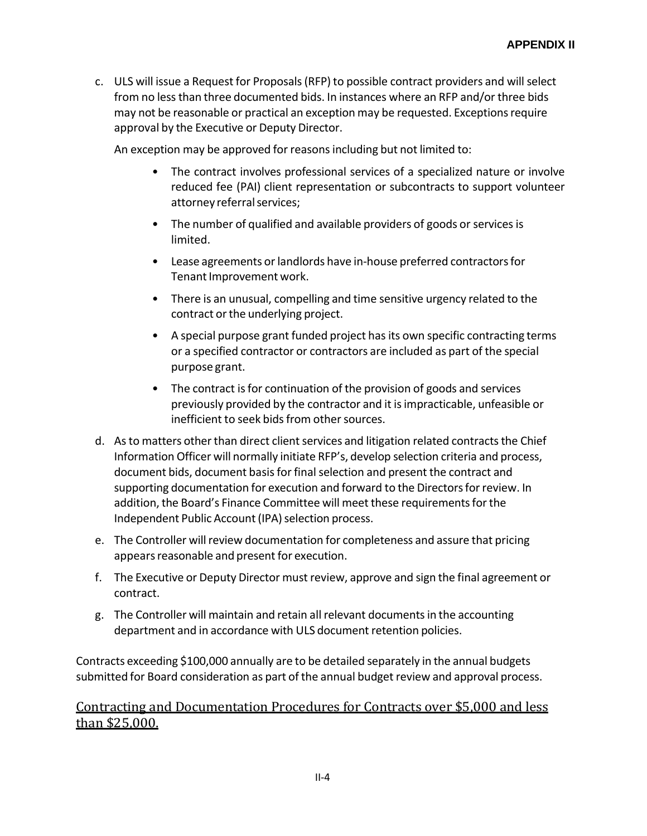c. ULS will issue a Request for Proposals(RFP) to possible contract providers and will select from no lessthan three documented bids. In instances where an RFP and/or three bids may not be reasonable or practical an exception may be requested. Exceptions require approval by the Executive or Deputy Director.

An exception may be approved for reasons including but not limited to:

- The contract involves professional services of a specialized nature or involve reduced fee (PAI) client representation or subcontracts to support volunteer attorney referral services;
- The number of qualified and available providers of goods or services is limited.
- Lease agreements or landlords have in-house preferred contractors for Tenant Improvement work.
- There is an unusual, compelling and time sensitive urgency related to the contract or the underlying project.
- A special purpose grant funded project has its own specific contracting terms or a specified contractor or contractors are included as part of the special purpose grant.
- The contract is for continuation of the provision of goods and services previously provided by the contractor and it isimpracticable, unfeasible or inefficient to seek bids from other sources.
- d. As to matters other than direct client services and litigation related contracts the Chief Information Officer will normally initiate RFP's, develop selection criteria and process, document bids, document basis for final selection and present the contract and supporting documentation for execution and forward to the Directors for review. In addition, the Board's Finance Committee will meet these requirements for the Independent Public Account (IPA) selection process.
- e. The Controller will review documentation for completeness and assure that pricing appears reasonable and present for execution.
- f. The Executive or Deputy Director must review, approve and sign the final agreement or contract.
- g. The Controller will maintain and retain all relevant documentsin the accounting department and in accordance with ULS document retention policies.

Contracts exceeding \$100,000 annually are to be detailed separately in the annual budgets submitted for Board consideration as part of the annual budget review and approval process.

#### Contracting and Documentation Procedures for Contracts over \$5,000 and less than \$25,000.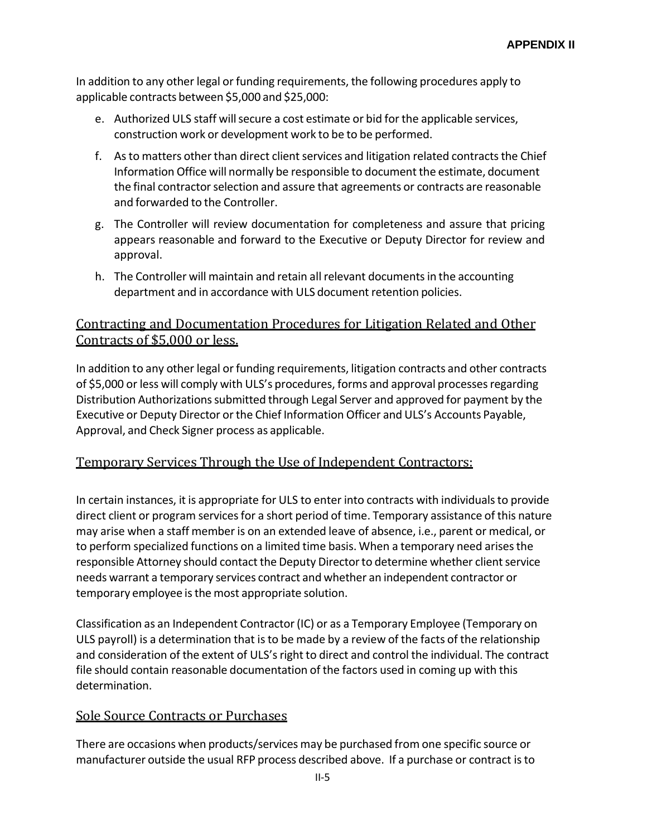In addition to any other legal or funding requirements, the following procedures apply to applicable contracts between \$5,000 and \$25,000:

- e. Authorized ULS staff willsecure a cost estimate or bid for the applicable services, construction work or development work to be to be performed.
- f. As to matters other than direct client services and litigation related contracts the Chief Information Office will normally be responsible to document the estimate, document the final contractor selection and assure that agreements or contracts are reasonable and forwarded to the Controller.
- g. The Controller will review documentation for completeness and assure that pricing appears reasonable and forward to the Executive or Deputy Director for review and approval.
- h. The Controller will maintain and retain all relevant documentsin the accounting department and in accordance with ULS document retention policies.

#### Contracting and Documentation Procedures for Litigation Related and Other Contracts of \$5,000 or less.

In addition to any other legal or funding requirements, litigation contracts and other contracts of \$5,000 or less will comply with ULS's procedures, forms and approval processesregarding Distribution Authorizations submitted through Legal Server and approved for payment by the Executive or Deputy Director orthe Chief Information Officer and ULS's Accounts Payable, Approval, and Check Signer process as applicable.

#### Temporary Services Through the Use of Independent Contractors:

In certain instances, it is appropriate for ULS to enter into contracts with individualsto provide direct client or program services for a short period of time. Temporary assistance of this nature may arise when a staff member is on an extended leave of absence, i.e., parent or medical, or to perform specialized functions on a limited time basis. When a temporary need arisesthe responsible Attorney should contact the Deputy Director to determine whether client service needs warrant a temporary services contract and whether an independent contractor or temporary employee isthe most appropriate solution.

Classification as an Independent Contractor(IC) or as a Temporary Employee (Temporary on ULS payroll) is a determination that isto be made by a review of the facts of the relationship and consideration of the extent of ULS's right to direct and control the individual. The contract file should contain reasonable documentation of the factors used in coming up with this determination.

#### Sole Source Contracts or Purchases

There are occasions when products/services may be purchased from one specific source or manufacturer outside the usual RFP process described above. If a purchase or contract isto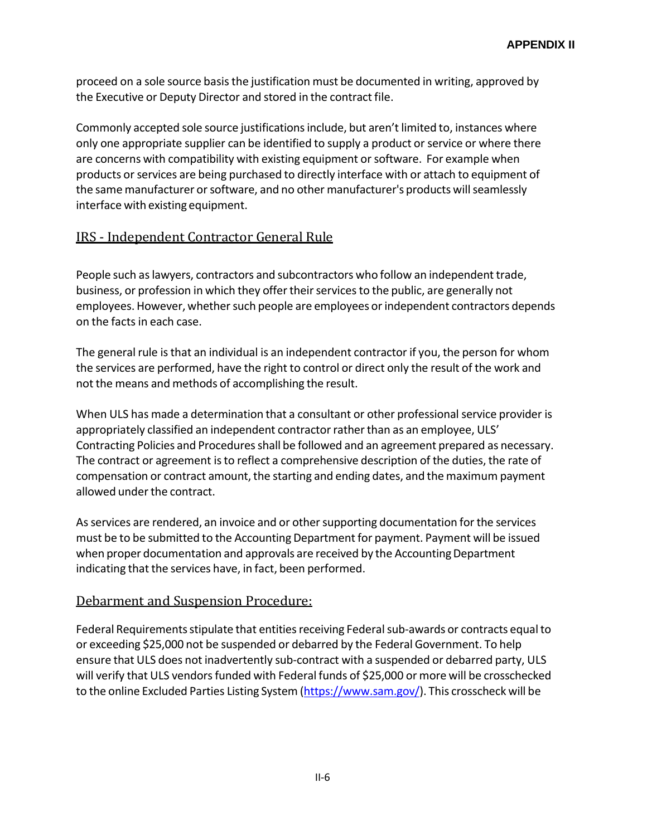proceed on a sole source basis the justification must be documented in writing, approved by the Executive or Deputy Director and stored in the contract file.

Commonly accepted sole source justifications include, but aren't limited to, instances where only one appropriate supplier can be identified to supply a product or service or where there are concerns with compatibility with existing equipment orsoftware. For example when products or services are being purchased to directly interface with or attach to equipment of the same manufacturer or software, and no other manufacturer's products will seamlessly interface with existing equipment.

#### IRS - Independent Contractor General Rule

People such aslawyers, contractors and subcontractors who follow an independent trade, business, or profession in which they offer their services to the public, are generally not employees. However, whether such people are employees or independent contractors depends on the facts in each case.

The general rule isthat an individual is an independent contractor if you, the person for whom the services are performed, have the right to control or direct only the result of the work and not the means and methods of accomplishing the result.

When ULS has made a determination that a consultant or other professional service provider is appropriately classified an independent contractor rather than as an employee, ULS' Contracting Policies and Procedures shall be followed and an agreement prepared as necessary. The contract or agreement is to reflect a comprehensive description of the duties, the rate of compensation or contract amount, the starting and ending dates, and the maximum payment allowed under the contract.

As services are rendered, an invoice and or other supporting documentation for the services must be to be submitted to the Accounting Department for payment. Payment will be issued when proper documentation and approvals are received by the Accounting Department indicating that the services have, in fact, been performed.

#### Debarment and Suspension Procedure:

Federal Requirements stipulate that entities receiving Federal sub-awards or contracts equal to or exceeding \$25,000 not be suspended or debarred by the Federal Government. To help ensure that ULS does not inadvertently sub-contract with a suspended or debarred party, ULS will verify that ULS vendors funded with Federal funds of \$25,000 or more will be crosschecked to the online Excluded Parties Listing System (https:/[/www.sam.gov/\).](http://www.sam.gov/)) This crosscheck will be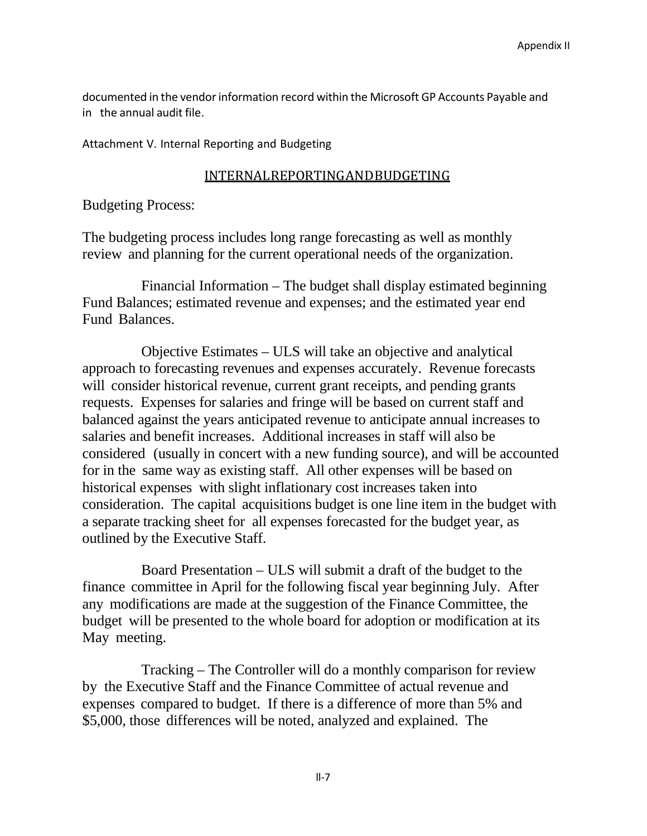documented in the vendor information record within the Microsoft GP Accounts Payable and in the annual audit file.

Attachment V. Internal Reporting and Budgeting

#### INTERNALREPORTINGANDBUDGETING

Budgeting Process:

The budgeting process includes long range forecasting as well as monthly review and planning for the current operational needs of the organization.

Financial Information – The budget shall display estimated beginning Fund Balances; estimated revenue and expenses; and the estimated year end Fund Balances.

Objective Estimates – ULS will take an objective and analytical approach to forecasting revenues and expenses accurately. Revenue forecasts will consider historical revenue, current grant receipts, and pending grants requests. Expenses for salaries and fringe will be based on current staff and balanced against the years anticipated revenue to anticipate annual increases to salaries and benefit increases. Additional increases in staff will also be considered (usually in concert with a new funding source), and will be accounted for in the same way as existing staff. All other expenses will be based on historical expenses with slight inflationary cost increases taken into consideration. The capital acquisitions budget is one line item in the budget with a separate tracking sheet for all expenses forecasted for the budget year, as outlined by the Executive Staff.

Board Presentation – ULS will submit a draft of the budget to the finance committee in April for the following fiscal year beginning July. After any modifications are made at the suggestion of the Finance Committee, the budget will be presented to the whole board for adoption or modification at its May meeting.

Tracking – The Controller will do a monthly comparison for review by the Executive Staff and the Finance Committee of actual revenue and expenses compared to budget. If there is a difference of more than 5% and \$5,000, those differences will be noted, analyzed and explained. The